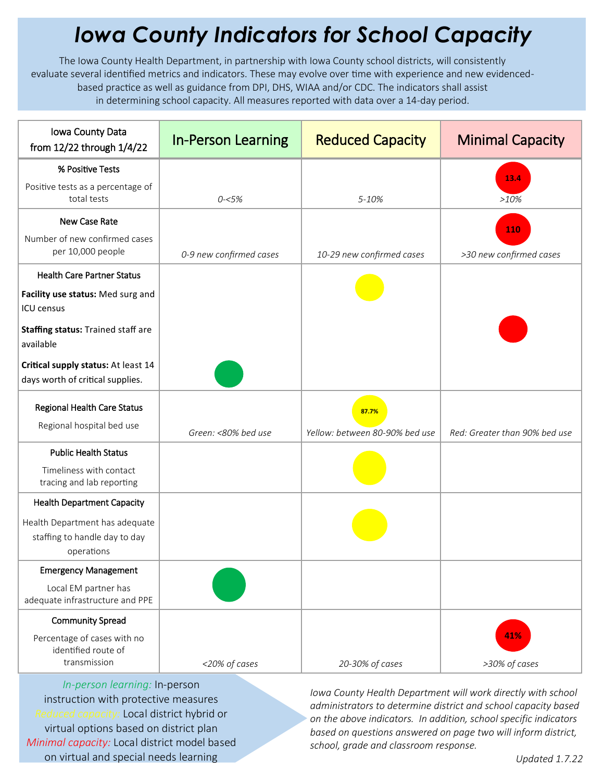## *Iowa County Indicators for School Capacity*

The Iowa County Health Department, in partnership with Iowa County school districts, will consistently evaluate several identified metrics and indicators. These may evolve over time with experience and new evidencedbased practice as well as guidance from DPI, DHS, WIAA and/or CDC. The indicators shall assist in determining school capacity. All measures reported with data over a 14-day period.

| Iowa County Data<br>from 12/22 through 1/4/22                                 | <b>In-Person Learning</b> | <b>Reduced Capacity</b>                 | <b>Minimal Capacity</b>        |
|-------------------------------------------------------------------------------|---------------------------|-----------------------------------------|--------------------------------|
| % Positive Tests                                                              |                           |                                         |                                |
| Positive tests as a percentage of<br>total tests                              | $0 - 5%$                  | $5 - 10%$                               | 13.4<br>$>10\%$                |
| <b>New Case Rate</b>                                                          |                           |                                         |                                |
| Number of new confirmed cases<br>per 10,000 people                            | 0-9 new confirmed cases   | 10-29 new confirmed cases               | 110<br>>30 new confirmed cases |
| <b>Health Care Partner Status</b>                                             |                           |                                         |                                |
| Facility use status: Med surg and<br><b>ICU</b> census                        |                           |                                         |                                |
| Staffing status: Trained staff are<br>available                               |                           |                                         |                                |
| Critical supply status: At least 14<br>days worth of critical supplies.       |                           |                                         |                                |
| Regional Health Care Status<br>Regional hospital bed use                      | Green: <80% bed use       | 87.7%<br>Yellow: between 80-90% bed use | Red: Greater than 90% bed use  |
| <b>Public Health Status</b>                                                   |                           |                                         |                                |
| Timeliness with contact<br>tracing and lab reporting                          |                           |                                         |                                |
| <b>Health Department Capacity</b>                                             |                           |                                         |                                |
| Health Department has adequate<br>staffing to handle day to day<br>operations |                           |                                         |                                |
| <b>Emergency Management</b>                                                   |                           |                                         |                                |
| Local EM partner has<br>adequate infrastructure and PPE                       |                           |                                         |                                |
| <b>Community Spread</b>                                                       |                           |                                         |                                |
| Percentage of cases with no<br>identified route of<br>transmission            | <20% of cases             | 20-30% of cases                         | 41%<br>>30% of cases           |

*In-person learning:* In-person instruction with protective measures *Reduced capacity:* Local district hybrid or virtual options based on district plan *Minimal capacity:* Local district model based on virtual and special needs learning

*Iowa County Health Department will work directly with school administrators to determine district and school capacity based on the above indicators. In addition, school specific indicators based on questions answered on page two will inform district, school, grade and classroom response.*